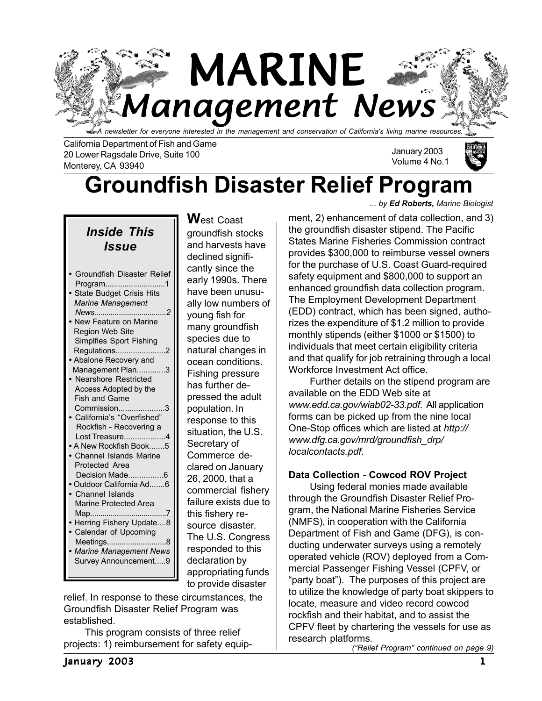

California Department of Fish and Game 20 Lower Ragsdale Drive, Suite 100 Monterey, CA 93940

January 2003 Volume 4 No.1

# **Groundfish Disaster Relief Program**

*Inside This Issue*

| New Feature on Marine<br>Region Web Site<br>Simplfies Sport Fishing<br>Regulations<br>Abalone Recovery and |
|------------------------------------------------------------------------------------------------------------|
| Management Plan3                                                                                           |
| <b>Nearshore Restricted</b>                                                                                |
| Access Adopted by the<br><b>Fish and Game</b>                                                              |
| Commission                                                                                                 |
| California's "Overfished"                                                                                  |
| Rockfish - Recovering a                                                                                    |
| Lost Treasure4                                                                                             |
| A New Rockfish Book5                                                                                       |
| Channel Islands Marine                                                                                     |
| Protected Area                                                                                             |
|                                                                                                            |
| Outdoor California Ad6                                                                                     |
| Channel Islands                                                                                            |
| Marine Protected Area                                                                                      |
| Map                                                                                                        |
| Herring Fishery Update8                                                                                    |
| Calendar of Upcoming                                                                                       |
| Meetings                                                                                                   |
| <b>Marine Management News</b>                                                                              |
| Survey Announcement9                                                                                       |
|                                                                                                            |

**W**est Coast groundfish stocks and harvests have declined significantly since the early 1990s. There have been unusually low numbers of young fish for many groundfish species due to natural changes in ocean conditions. Fishing pressure has further depressed the adult population. In response to this situation, the U.S. Secretary of Commerce declared on January 26, 2000, that a commercial fishery failure exists due to this fishery resource disaster. The U.S. Congress responded to this declaration by appropriating funds to provide disaster

relief. In response to these circumstances, the Groundfish Disaster Relief Program was established.

This program consists of three relief projects: 1) reimbursement for safety equip*... by Ed Roberts, Marine Biologist*

ment, 2) enhancement of data collection, and 3) the groundfish disaster stipend. The Pacific States Marine Fisheries Commission contract provides \$300,000 to reimburse vessel owners for the purchase of U.S. Coast Guard-required safety equipment and \$800,000 to support an enhanced groundfish data collection program. The Employment Development Department (EDD) contract, which has been signed, authorizes the expenditure of \$1.2 million to provide monthly stipends (either \$1000 or \$1500) to individuals that meet certain eligibility criteria and that qualify for job retraining through a local Workforce Investment Act office.

Further details on the stipend program are available on the EDD Web site at *www.edd.ca.gov/wiab02-33.pdf*. All application forms can be picked up from the nine local One-Stop offices which are listed at *http:// www.dfg.ca.gov/mrd/groundfish\_drp/ localcontacts.pdf*.

### **Data Collection - Cowcod ROV Project**

Using federal monies made available through the Groundfish Disaster Relief Program, the National Marine Fisheries Service (NMFS), in cooperation with the California Department of Fish and Game (DFG), is conducting underwater surveys using a remotely operated vehicle (ROV) deployed from a Commercial Passenger Fishing Vessel (CPFV, or "party boat"). The purposes of this project are to utilize the knowledge of party boat skippers to locate, measure and video record cowcod rockfish and their habitat, and to assist the CPFV fleet by chartering the vessels for use as research platforms.

*("Relief Program" continued on page 9)*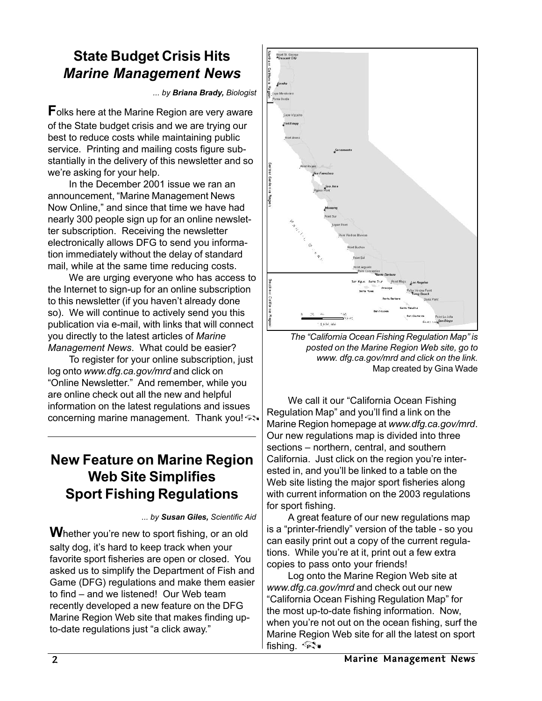# **State Budget Crisis Hits** *Marine Management News*

*... by Briana Brady, Biologist*

**F**olks here at the Marine Region are very aware of the State budget crisis and we are trying our best to reduce costs while maintaining public service. Printing and mailing costs figure substantially in the delivery of this newsletter and so we're asking for your help.

In the December 2001 issue we ran an announcement, "Marine Management News Now Online," and since that time we have had nearly 300 people sign up for an online newsletter subscription. Receiving the newsletter electronically allows DFG to send you information immediately without the delay of standard mail, while at the same time reducing costs.

We are urging everyone who has access to the Internet to sign-up for an online subscription to this newsletter (if you haven't already done so). We will continue to actively send you this publication via e-mail, with links that will connect you directly to the latest articles of *Marine Management News*. What could be easier?

To register for your online subscription, just log onto *www.dfg.ca.gov/mrd* and click on "Online Newsletter." And remember, while you are online check out all the new and helpful information on the latest regulations and issues concerning marine management. Thank you!

### **New Feature on Marine Region Web Site Simplifies Sport Fishing Regulations**

*... by Susan Giles, Scientific Aid*

**W**hether you're new to sport fishing, or an old salty dog, it's hard to keep track when your favorite sport fisheries are open or closed. You asked us to simplify the Department of Fish and Game (DFG) regulations and make them easier to find – and we listened! Our Web team recently developed a new feature on the DFG Marine Region Web site that makes finding upto-date regulations just "a click away."



*The "California Ocean Fishing Regulation Map" is posted on the Marine Region Web site, go to www. dfg.ca.gov/mrd and click on the link.* Map created by Gina Wade

We call it our "California Ocean Fishing Regulation Map" and you'll find a link on the Marine Region homepage at *www.dfg.ca.gov/mrd*. Our new regulations map is divided into three sections – northern, central, and southern California. Just click on the region you're interested in, and you'll be linked to a table on the Web site listing the major sport fisheries along with current information on the 2003 regulations for sport fishing.

A great feature of our new regulations map is a "printer-friendly" version of the table - so you can easily print out a copy of the current regulations. While you're at it, print out a few extra copies to pass onto your friends!

Log onto the Marine Region Web site at *www.dfg.ca.gov/mrd* and check out our new "California Ocean Fishing Regulation Map" for the most up-to-date fishing information. Now, when you're not out on the ocean fishing, surf the Marine Region Web site for all the latest on sport fishing. <sup>√</sup>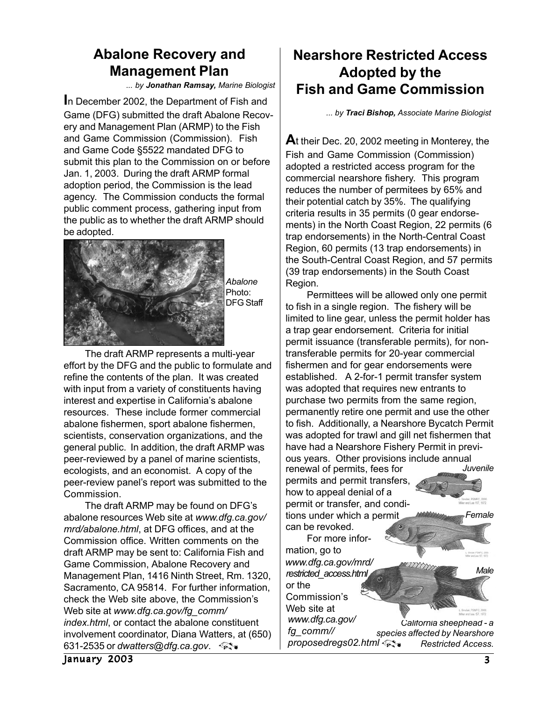# **Abalone Recovery and Management Plan**

*... by Jonathan Ramsay, Marine Biologist*

**I**n December 2002, the Department of Fish and Game (DFG) submitted the draft Abalone Recovery and Management Plan (ARMP) to the Fish and Game Commission (Commission). Fish and Game Code §5522 mandated DFG to submit this plan to the Commission on or before Jan. 1, 2003. During the draft ARMP formal adoption period, the Commission is the lead agency. The Commission conducts the formal public comment process, gathering input from the public as to whether the draft ARMP should be adopted.



The draft ARMP represents a multi-year effort by the DFG and the public to formulate and refine the contents of the plan. It was created with input from a variety of constituents having interest and expertise in California's abalone resources. These include former commercial abalone fishermen, sport abalone fishermen, scientists, conservation organizations, and the general public. In addition, the draft ARMP was peer-reviewed by a panel of marine scientists, ecologists, and an economist. A copy of the peer-review panel's report was submitted to the Commission.

The draft ARMP may be found on DFG's abalone resources Web site at *www.dfg.ca.gov/ mrd/abalone.html*, at DFG offices, and at the Commission office. Written comments on the draft ARMP may be sent to: California Fish and Game Commission, Abalone Recovery and Management Plan, 1416 Ninth Street, Rm. 1320, Sacramento, CA 95814. For further information, check the Web site above, the Commission's Web site at *www.dfg.ca.gov/fg\_comm/ index.html*, or contact the abalone constituent involvement coordinator, Diana Watters, at (650) 631-2535 or *dwatters@dfg.ca.gov*.

### **Nearshore Restricted Access Adopted by the Fish and Game Commission**

*... by Traci Bishop, Associate Marine Biologist*

**A**t their Dec. 20, 2002 meeting in Monterey, the Fish and Game Commission (Commission) adopted a restricted access program for the commercial nearshore fishery. This program reduces the number of permitees by 65% and their potential catch by 35%. The qualifying criteria results in 35 permits (0 gear endorsements) in the North Coast Region, 22 permits (6 trap endorsements) in the North-Central Coast Region, 60 permits (13 trap endorsements) in the South-Central Coast Region, and 57 permits (39 trap endorsements) in the South Coast Region.

*California sheephead - a* Permittees will be allowed only one permit to fish in a single region. The fishery will be limited to line gear, unless the permit holder has a trap gear endorsement. Criteria for initial permit issuance (transferable permits), for nontransferable permits for 20-year commercial fishermen and for gear endorsements were established. A 2-for-1 permit transfer system was adopted that requires new entrants to purchase two permits from the same region, permanently retire one permit and use the other to fish. Additionally, a Nearshore Bycatch Permit was adopted for trawl and gill net fishermen that have had a Nearshore Fishery Permit in previous years. Other provisions include annual<br>renewal of permits fees for *Juvenile Male Female* renewal of permits, fees for permits and permit transfers, how to appeal denial of a permit or transfer, and conditions under which a permit can be revoked. For more information, go to *www.dfg.ca.gov/mrd/ restricted\_access.html* or the Commission's Web site at *www.dfg.ca.gov/*

*species affected by Nearshore Restricted Access. fg\_comm// proposedregs02.html*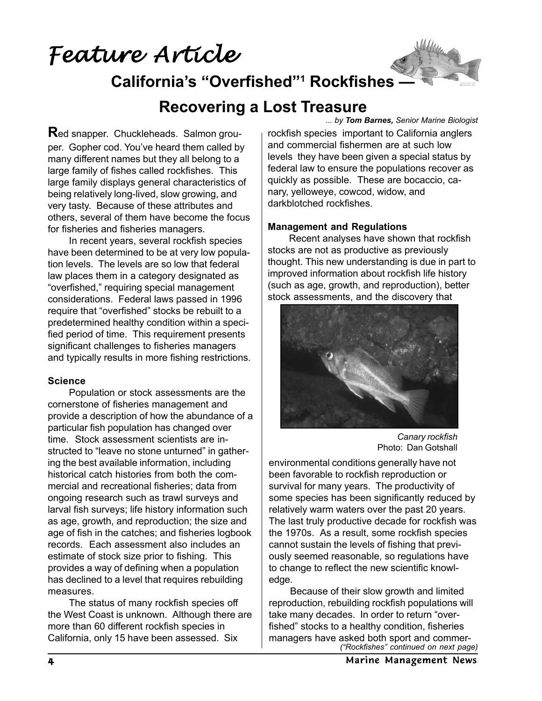*Feature Article Feature Article*



**California's "Overfished"1 Rockfishes —**

# **Recovering a Lost Treasure**

*... by Tom Barnes, Senior Marine Biologist*

**R**ed snapper. Chuckleheads. Salmon grouper. Gopher cod. You've heard them called by many different names but they all belong to a large family of fishes called rockfishes. This large family displays general characteristics of being relatively long-lived, slow growing, and very tasty. Because of these attributes and others, several of them have become the focus for fisheries and fisheries managers.

In recent years, several rockfish species have been determined to be at very low population levels. The levels are so low that federal law places them in a category designated as "overfished," requiring special management considerations. Federal laws passed in 1996 require that "overfished" stocks be rebuilt to a predetermined healthy condition within a specified period of time. This requirement presents significant challenges to fisheries managers and typically results in more fishing restrictions.

#### **Science**

Population or stock assessments are the cornerstone of fisheries management and provide a description of how the abundance of a particular fish population has changed over time. Stock assessment scientists are instructed to "leave no stone unturned" in gathering the best available information, including historical catch histories from both the commercial and recreational fisheries; data from ongoing research such as trawl surveys and larval fish surveys; life history information such as age, growth, and reproduction; the size and age of fish in the catches; and fisheries logbook records. Each assessment also includes an estimate of stock size prior to fishing. This provides a way of defining when a population has declined to a level that requires rebuilding measures.

The status of many rockfish species off the West Coast is unknown. Although there are more than 60 different rockfish species in California, only 15 have been assessed. Six

rockfish species important to California anglers and commercial fishermen are at such low levels they have been given a special status by federal law to ensure the populations recover as quickly as possible. These are bocaccio, canary, yelloweye, cowcod, widow, and darkblotched rockfishes.

#### **Management and Regulations**

Recent analyses have shown that rockfish stocks are not as productive as previously thought. This new understanding is due in part to improved information about rockfish life history (such as age, growth, and reproduction), better stock assessments, and the discovery that



*Canary rockfish* Photo: Dan Gotshall

environmental conditions generally have not been favorable to rockfish reproduction or survival for many years. The productivity of some species has been significantly reduced by relatively warm waters over the past 20 years. The last truly productive decade for rockfish was the 1970s. As a result, some rockfish species cannot sustain the levels of fishing that previously seemed reasonable, so regulations have to change to reflect the new scientific knowledge.

Because of their slow growth and limited reproduction, rebuilding rockfish populations will take many decades. In order to return "overfished" stocks to a healthy condition, fisheries managers have asked both sport and commer-*("Rockfishes" continued on next page)*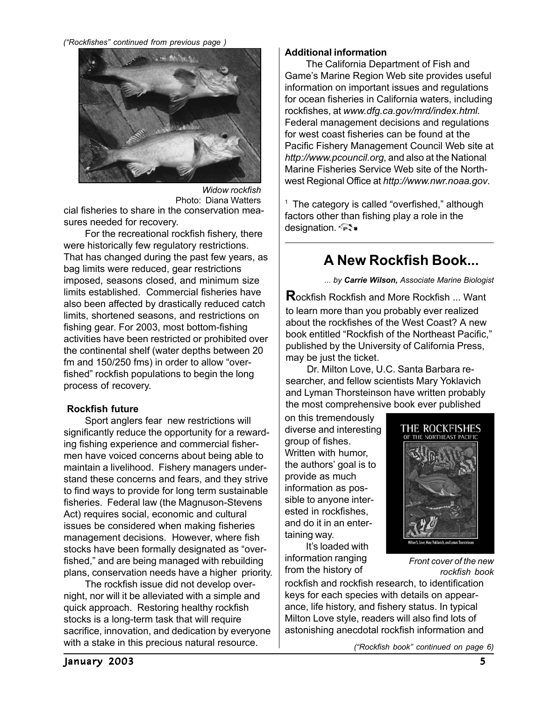#### *("Rockfishes" continued from previous page )*



cial fisheries to share in the conservation measures needed for recovery. *Widow rockfish* Photo: Diana Watters

For the recreational rockfish fishery, there were historically few regulatory restrictions. That has changed during the past few years, as bag limits were reduced, gear restrictions imposed, seasons closed, and minimum size limits established. Commercial fisheries have also been affected by drastically reduced catch limits, shortened seasons, and restrictions on fishing gear. For 2003, most bottom-fishing activities have been restricted or prohibited over the continental shelf (water depths between 20 fm and 150/250 fms) in order to allow "overfished" rockfish populations to begin the long process of recovery.

#### **Rockfish future**

Sport anglers fear new restrictions will significantly reduce the opportunity for a rewarding fishing experience and commercial fishermen have voiced concerns about being able to maintain a livelihood. Fishery managers understand these concerns and fears, and they strive to find ways to provide for long term sustainable fisheries. Federal law (the Magnuson-Stevens Act) requires social, economic and cultural issues be considered when making fisheries management decisions. However, where fish stocks have been formally designated as "overfished," and are being managed with rebuilding plans, conservation needs have a higher priority.

The rockfish issue did not develop overnight, nor will it be alleviated with a simple and quick approach. Restoring healthy rockfish stocks is a long-term task that will require sacrifice, innovation, and dedication by everyone with a stake in this precious natural resource.

#### **Additional information**

The California Department of Fish and Game's Marine Region Web site provides useful information on important issues and regulations for ocean fisheries in California waters, including rockfishes, at *www.dfg.ca.gov/mrd/index.html*. Federal management decisions and regulations for west coast fisheries can be found at the Pacific Fishery Management Council Web site at *http://www.pcouncil.org*, and also at the National Marine Fisheries Service Web site of the Northwest Regional Office at *http://www.nwr.noaa.gov*.

 $1$  The category is called "overfished," although factors other than fishing play a role in the designation.

### **A New Rockfish Book...**

*... by Carrie Wilson, Associate Marine Biologist*

**R**ockfish Rockfish and More Rockfish ... Want to learn more than you probably ever realized about the rockfishes of the West Coast? A new book entitled "Rockfish of the Northeast Pacific," published by the University of California Press, may be just the ticket.

Dr. Milton Love, U.C. Santa Barbara researcher, and fellow scientists Mary Yoklavich and Lyman Thorsteinson have written probably the most comprehensive book ever published

on this tremendously diverse and interesting group of fishes. Written with humor, the authors' goal is to provide as much information as possible to anyone interested in rockfishes, and do it in an entertaining way.

It's loaded with information ranging from the history of



*Front cover of the new rockfish book*

rockfish and rockfish research, to identification keys for each species with details on appearance, life history, and fishery status. In typical Milton Love style, readers will also find lots of astonishing anecdotal rockfish information and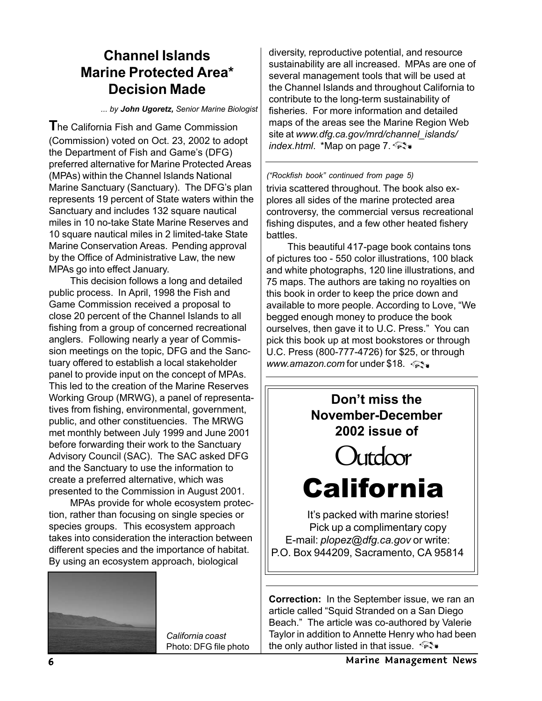### **Channel Islands Marine Protected Area\* Decision Made**

*... by John Ugoretz, Senior Marine Biologist*

**T**he California Fish and Game Commission (Commission) voted on Oct. 23, 2002 to adopt the Department of Fish and Game's (DFG) preferred alternative for Marine Protected Areas (MPAs) within the Channel Islands National Marine Sanctuary (Sanctuary). The DFG's plan represents 19 percent of State waters within the Sanctuary and includes 132 square nautical miles in 10 no-take State Marine Reserves and 10 square nautical miles in 2 limited-take State Marine Conservation Areas. Pending approval by the Office of Administrative Law, the new MPAs go into effect January.

This decision follows a long and detailed public process. In April, 1998 the Fish and Game Commission received a proposal to close 20 percent of the Channel Islands to all fishing from a group of concerned recreational anglers. Following nearly a year of Commission meetings on the topic, DFG and the Sanctuary offered to establish a local stakeholder panel to provide input on the concept of MPAs. This led to the creation of the Marine Reserves Working Group (MRWG), a panel of representatives from fishing, environmental, government, public, and other constituencies. The MRWG met monthly between July 1999 and June 2001 before forwarding their work to the Sanctuary Advisory Council (SAC). The SAC asked DFG and the Sanctuary to use the information to create a preferred alternative, which was presented to the Commission in August 2001.

MPAs provide for whole ecosystem protection, rather than focusing on single species or species groups. This ecosystem approach takes into consideration the interaction between different species and the importance of habitat. By using an ecosystem approach, biological



*California coast* Photo: DFG file photo diversity, reproductive potential, and resource sustainability are all increased. MPAs are one of several management tools that will be used at the Channel Islands and throughout California to contribute to the long-term sustainability of fisheries. For more information and detailed maps of the areas see the Marine Region Web site at *www.dfg.ca.gov/mrd/channel\_islands/ index.html*. \*Map on page 7.

*("Rockfish book" continued from page 5)* trivia scattered throughout. The book also explores all sides of the marine protected area controversy, the commercial versus recreational fishing disputes, and a few other heated fishery battles.

This beautiful 417-page book contains tons of pictures too - 550 color illustrations, 100 black and white photographs, 120 line illustrations, and 75 maps. The authors are taking no royalties on this book in order to keep the price down and available to more people. According to Love, "We begged enough money to produce the book ourselves, then gave it to U.C. Press." You can pick this book up at most bookstores or through U.C. Press (800-777-4726) for \$25, or through *www.amazon.com* for under \$18.



**Correction:** In the September issue, we ran an article called "Squid Stranded on a San Diego Beach." The article was co-authored by Valerie Taylor in addition to Annette Henry who had been the only author listed in that issue.  $\mathbb{R}$ .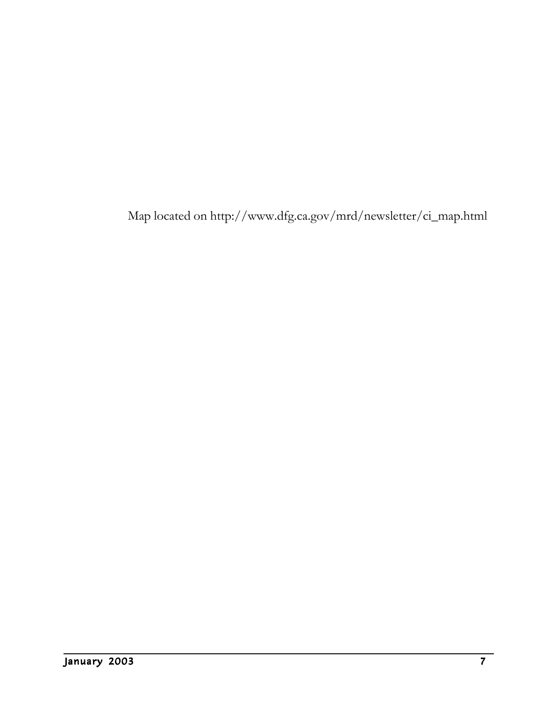Map located on http://www.dfg.ca.gov/mrd/newsletter/ci\_map.html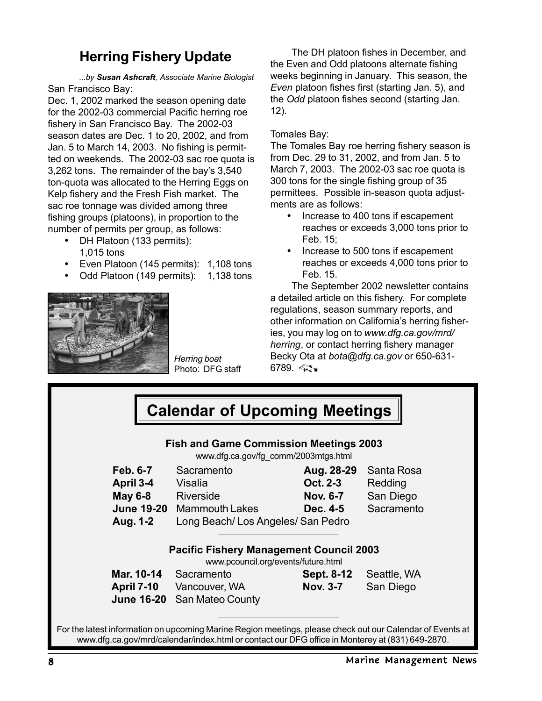### **Herring Fishery Update**

*...by Susan Ashcraft, Associate Marine Biologist* San Francisco Bay:

Dec. 1, 2002 marked the season opening date for the 2002-03 commercial Pacific herring roe fishery in San Francisco Bay. The 2002-03 season dates are Dec. 1 to 20, 2002, and from Jan. 5 to March 14, 2003. No fishing is permitted on weekends. The 2002-03 sac roe quota is 3,262 tons. The remainder of the bay's 3,540 ton-quota was allocated to the Herring Eggs on Kelp fishery and the Fresh Fish market. The sac roe tonnage was divided among three fishing groups (platoons), in proportion to the number of permits per group, as follows:

- DH Platoon (133 permits): 1,015 tons
- Even Platoon (145 permits): 1,108 tons
- Odd Platoon (149 permits): 1,138 tons



*Herring boat* Photo: DFG staff

The DH platoon fishes in December, and the Even and Odd platoons alternate fishing weeks beginning in January. This season, the *Even* platoon fishes first (starting Jan. 5), and the *Odd* platoon fishes second (starting Jan. 12).

#### Tomales Bay:

The Tomales Bay roe herring fishery season is from Dec. 29 to 31, 2002, and from Jan. 5 to March 7, 2003. The 2002-03 sac roe quota is 300 tons for the single fishing group of 35 permittees. Possible in-season quota adjustments are as follows:

- Increase to 400 tons if escapement reaches or exceeds 3,000 tons prior to Feb. 15;
- Increase to 500 tons if escapement reaches or exceeds 4,000 tons prior to Feb. 15.

The September 2002 newsletter contains a detailed article on this fishery. For complete regulations, season summary reports, and other information on California's herring fisheries, you may log on to *www.dfg.ca.gov/mrd/ herring*, or contact herring fishery manager Becky Ota at *bota@dfg.ca.gov* or 650-631-  $6789.$   $\lll$ 

| <b>Calendar of Upcoming Meetings</b>                                                                                                                                                                         |                                  |                 |             |  |
|--------------------------------------------------------------------------------------------------------------------------------------------------------------------------------------------------------------|----------------------------------|-----------------|-------------|--|
| <b>Fish and Game Commission Meetings 2003</b><br>www.dfg.ca.gov/fg_comm/2003mtgs.html                                                                                                                        |                                  |                 |             |  |
| <b>Feb. 6-7</b>                                                                                                                                                                                              | Sacramento                       | Aug. 28-29      | Santa Rosa  |  |
| April 3-4                                                                                                                                                                                                    | Visalia                          | Oct. 2-3        | Redding     |  |
| <b>May 6-8</b>                                                                                                                                                                                               | Riverside                        | <b>Nov. 6-7</b> | San Diego   |  |
|                                                                                                                                                                                                              | <b>June 19-20</b> Mammouth Lakes | Dec. 4-5        | Sacramento  |  |
| Aug. 1-2                                                                                                                                                                                                     | Long Beach/Los Angeles/San Pedro |                 |             |  |
| <b>Pacific Fishery Management Council 2003</b><br>www.pcouncil.org/events/future.html                                                                                                                        |                                  |                 |             |  |
| Mar. 10-14                                                                                                                                                                                                   | Sacramento                       | Sept. 8-12      | Seattle, WA |  |
|                                                                                                                                                                                                              | <b>April 7-10</b> Vancouver, WA  | <b>Nov. 3-7</b> | San Diego   |  |
| <b>June 16-20</b>                                                                                                                                                                                            | San Mateo County                 |                 |             |  |
| For the latest information on upcoming Marine Region meetings, please check out our Calendar of Events at<br>www.dfg.ca.gov/mrd/calendar/index.html or contact our DFG office in Monterey at (831) 649-2870. |                                  |                 |             |  |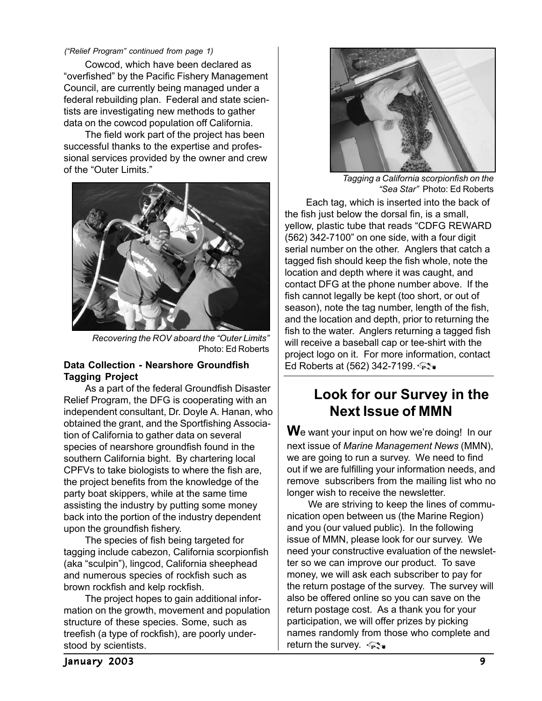#### *("Relief Program" continued from page 1)*

Cowcod, which have been declared as "overfished" by the Pacific Fishery Management Council, are currently being managed under a federal rebuilding plan. Federal and state scientists are investigating new methods to gather data on the cowcod population off California.

The field work part of the project has been successful thanks to the expertise and professional services provided by the owner and crew of the "Outer Limits."



*Recovering the ROV aboard the "Outer Limits"* Photo: Ed Roberts

#### **Data Collection - Nearshore Groundfish Tagging Project**

As a part of the federal Groundfish Disaster Relief Program, the DFG is cooperating with an independent consultant, Dr. Doyle A. Hanan, who obtained the grant, and the Sportfishing Association of California to gather data on several species of nearshore groundfish found in the southern California bight. By chartering local CPFVs to take biologists to where the fish are, the project benefits from the knowledge of the party boat skippers, while at the same time assisting the industry by putting some money back into the portion of the industry dependent upon the groundfish fishery.

The species of fish being targeted for tagging include cabezon, California scorpionfish (aka "sculpin"), lingcod, California sheephead and numerous species of rockfish such as brown rockfish and kelp rockfish.

The project hopes to gain additional information on the growth, movement and population structure of these species. Some, such as treefish (a type of rockfish), are poorly understood by scientists.



*Tagging a California scorpionfish on the "Sea Star"* Photo: Ed Roberts

Each tag, which is inserted into the back of the fish just below the dorsal fin, is a small, yellow, plastic tube that reads "CDFG REWARD (562) 342-7100" on one side, with a four digit serial number on the other. Anglers that catch a tagged fish should keep the fish whole, note the location and depth where it was caught, and contact DFG at the phone number above. If the fish cannot legally be kept (too short, or out of season), note the tag number, length of the fish. and the location and depth, prior to returning the fish to the water. Anglers returning a tagged fish will receive a baseball cap or tee-shirt with the project logo on it. For more information, contact Ed Roberts at (562) 342-7199.

### **Look for our Survey in the Next Issue of MMN**

**W**e want your input on how we're doing! In our next issue of *Marine Management News* (MMN), we are going to run a survey. We need to find out if we are fulfilling your information needs, and remove subscribers from the mailing list who no longer wish to receive the newsletter.

We are striving to keep the lines of communication open between us (the Marine Region) and you (our valued public). In the following issue of MMN, please look for our survey. We need your constructive evaluation of the newsletter so we can improve our product. To save money, we will ask each subscriber to pay for the return postage of the survey. The survey will also be offered online so you can save on the return postage cost. As a thank you for your participation, we will offer prizes by picking names randomly from those who complete and return the survey.  $\mathbb{Q}$ .